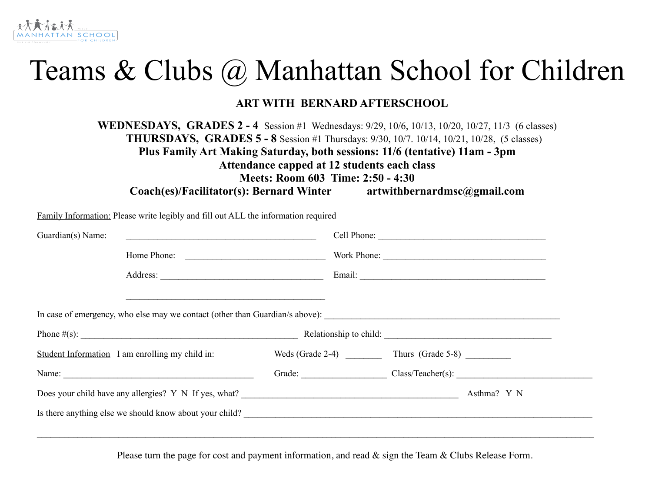# Teams & Clubs @ Manhattan School for Children

### **ART WITH BERNARD AFTERSCHOOL**

**WEDNESDAYS, GRADES 2 - 4** Session #1 Wednesdays: 9/29, 10/6, 10/13, 10/20, 10/27, 11/3 (6 classes) **THURSDAYS, GRADES 5 - 8** Session #1 Thursdays: 9/30, 10/7. 10/14, 10/21, 10/28, (5 classes) **Plus Family Art Making Saturday, both sessions: 11/6 (tentative) 11am - 3pm Attendance capped at 12 students each class Meets: Room 603 Time: 2:50 - 4:30**

**Coach(es)/Facilitator(s): Bernard Winter artwithbernardmsc@gmail.com**

Family Information: Please write legibly and fill out ALL the information required Guardian(s) Name: <br>
Cell Phone: <br>
Cell Phone: <br>
Cell Phone: <br>
Cell Phone: <br>
Cell Phone: <br>
Cell Phone: <br>
Cell Phone: <br>
Cell Phone: <br>
Cell Phone: <br>
Cell Phone: <br>
Cell Phone: <br>
Cell Phone: <br>
Cell Phone: <br>
Cell Del Cell Del Ce Home Phone:  $\blacksquare$ Address: Email:  $\blacksquare$  $\mathcal{L}_\text{max}$  and the contract of the contract of the contract of the contract of the contract of the contract of the contract of the contract of the contract of the contract of the contract of the contract of the contrac In case of emergency, who else may we contact (other than Guardian/s above): Phone  $\#(s)$ : Relationship to child: Student Information I am enrolling my child in: Weds (Grade 2-4) Thurs (Grade 5-8) Name: Class/Teacher(s):  $Grade:$  Class/Teacher(s):  $QA$ Does your child have any allergies? Y N If yes, what? <br>Asthma? Y N Is there anything else we should know about your child?  $\mathcal{L}_\mathcal{L} = \mathcal{L}_\mathcal{L} = \mathcal{L}_\mathcal{L} = \mathcal{L}_\mathcal{L} = \mathcal{L}_\mathcal{L} = \mathcal{L}_\mathcal{L} = \mathcal{L}_\mathcal{L} = \mathcal{L}_\mathcal{L} = \mathcal{L}_\mathcal{L} = \mathcal{L}_\mathcal{L} = \mathcal{L}_\mathcal{L} = \mathcal{L}_\mathcal{L} = \mathcal{L}_\mathcal{L} = \mathcal{L}_\mathcal{L} = \mathcal{L}_\mathcal{L} = \mathcal{L}_\mathcal{L} = \mathcal{L}_\mathcal{L}$ 

Please turn the page for cost and payment information, and read & sign the Team & Clubs Release Form.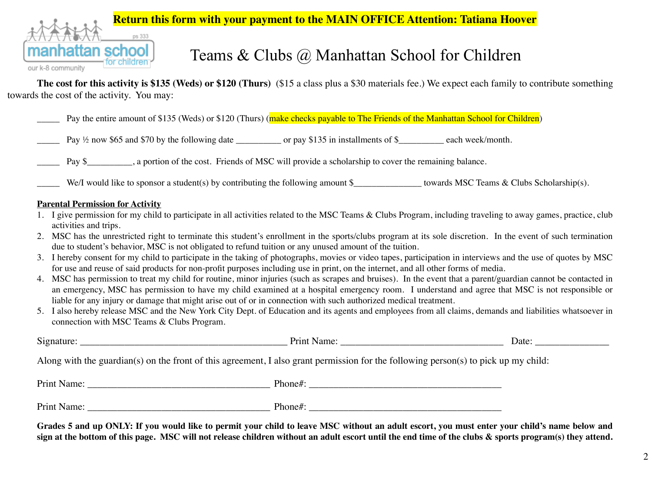#### **Return this form with your payment to the MAIN OFFICE Attention: Tatiana Hoover**



## **school** Teams & Clubs  $\omega$  Manhattan School for Children

**The cost for this activity is \$135 (Weds) or \$120 (Thurs)** (\$15 a class plus a \$30 materials fee.) We expect each family to contribute something towards the cost of the activity. You may:

Pay the entire amount of \$135 (Weds) or \$120 (Thurs) (make checks payable to The Friends of the Manhattan School for Children)

Pay  $\frac{1}{2}$  now \$65 and \$70 by the following date \_\_\_\_\_\_\_\_\_ or pay \$135 in installments of \$\_\_\_\_\_\_\_\_ each week/month.

Pay \$\_\_\_\_\_\_, a portion of the cost. Friends of MSC will provide a scholarship to cover the remaining balance.

We/I would like to sponsor a student(s) by contributing the following amount  $\frac{1}{2}$  towards MSC Teams & Clubs Scholarship(s).

#### **Parental Permission for Activity**

- 1. I give permission for my child to participate in all activities related to the MSC Teams & Clubs Program, including traveling to away games, practice, club activities and trips.
- 2. MSC has the unrestricted right to terminate this student's enrollment in the sports/clubs program at its sole discretion. In the event of such termination due to student's behavior, MSC is not obligated to refund tuition or any unused amount of the tuition.
- 3. I hereby consent for my child to participate in the taking of photographs, movies or video tapes, participation in interviews and the use of quotes by MSC for use and reuse of said products for non-profit purposes including use in print, on the internet, and all other forms of media.
- 4. MSC has permission to treat my child for routine, minor injuries (such as scrapes and bruises). In the event that a parent/guardian cannot be contacted in an emergency, MSC has permission to have my child examined at a hospital emergency room. I understand and agree that MSC is not responsible or liable for any injury or damage that might arise out of or in connection with such authorized medical treatment.
- 5. I also hereby release MSC and the New York City Dept. of Education and its agents and employees from all claims, demands and liabilities whatsoever in connection with MSC Teams & Clubs Program.

|                                                                                                                                     | Print Name: | Date: |  |
|-------------------------------------------------------------------------------------------------------------------------------------|-------------|-------|--|
| Along with the guardian(s) on the front of this agreement, I also grant permission for the following person(s) to pick up my child: |             |       |  |
| Print Name:                                                                                                                         | Phone#:     |       |  |
| Print Name:                                                                                                                         | Phone#:     |       |  |

**Grades 5 and up ONLY: If you would like to permit your child to leave MSC without an adult escort, you must enter your child's name below and sign at the bottom of this page. MSC will not release children without an adult escort until the end time of the clubs & sports program(s) they attend.**